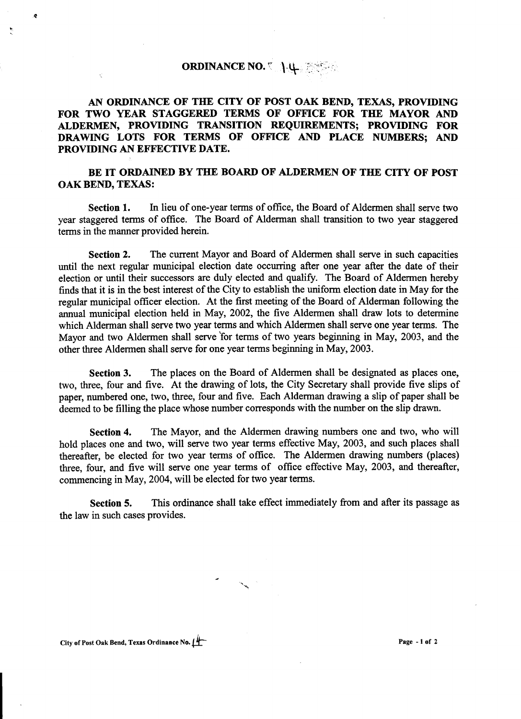## ORDINANCE NO.  $\left\{\downarrow\downarrow\right\}$

AN ORDINANCE OF THE CITY OF POST OAK BEND, TEXAS, PROVIDING FOR TWO YEAR STAGGERED TERMS OF OFFICE FOR THE MAYOR AND ALDERMEN, PROVIDING TRANSITION REQUIREMENTS; PROVIDING FOR DRAWING LOTS FOR TERMS OF OFFICE AND PLACE NUMBERS; AND PROVIDING AN EFFECTIVE DATE.

## BE IT ORDAINED BY THE BOARD OF ALDERMEN OF THE CITY OF POST OAK BEND, TEXAS:

Section 1. In lieu of one-year terms of office, the Board of Aldermen shall serve two year staggered tenns of office. The Board of Aldennan shall transition to two year staggered terms in the manner provided herein.

Section 2. The current Mayor and Board of Aldennen shall serve in such capacities until the next regular municipal election date occurring after one year after the date of their election or until their successors are duly elected and qualify. The Board of Aldennen hereby finds that it is in the best interest of the City to establish the uniform election date in May for the regular municipal officer election. At the first meeting of the Board of Aldennan following the annual municipal election held in May, 2002, the five Aldermen shall draw lots to determine which Alderman shall serve two year terms and which Aldermen shall serve one year terms. The Mayor and two Aldermen shall serve for terms of two years beginning in May, 2003, and the other three Aldennen shall serve for one year tenns beginning in May, 2003.

Section 3. The places on the Board of Aldermen shall be designated as places one, two, three, four and five. At the drawing of lots, the City Secretary shall provide five slips of paper, numbered one, two, three, four and five. Each Aldennan drawing a slip of paper shall be deemed to be filling the place whose number corresponds with the number on the slip drawn.

Section 4. The Mayor, and the Aldermen drawing numbers one and two, who will hold places one and two, will serve two year terms effective May, 2003, and such places shall thereafter, be elected for two year tenns of office. The Aldennen drawing numbers (places) three, four, and five will serve one year tenns of office effective May, 2003, and thereafter, commencing in May, 2004, will be elected for two year terms.

Section 5. This ordinance shall take effect immediately from and after its passage as the law in such cases provides.

~

"' "',

~

"